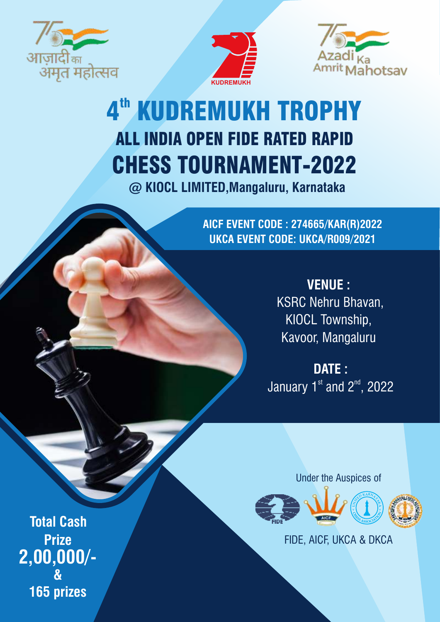





# ALL INDIA OPEN FIDE RATED RAPID CHESS TOURNAMENT-2022 4<sup>th</sup> KUDREMUKH TROPHY

**@ KIOCL LIMITED,Mangaluru, Karnataka**

**AICF EVENT CODE : 274665/KAR(R)2022 UKCA EVENT CODE: UKCA/R009/2021**

> **VENUE :** KSRC Nehru Bhavan, KIOCL Township, Kavoor, Mangaluru

**DATE :** January  $1<sup>st</sup>$  and  $2<sup>nd</sup>$ , 2022

Under the Auspices of



FIDE, AICF, UKCA & DKCA

**Total Cash Prize 2,00,000/- & 165 prizes**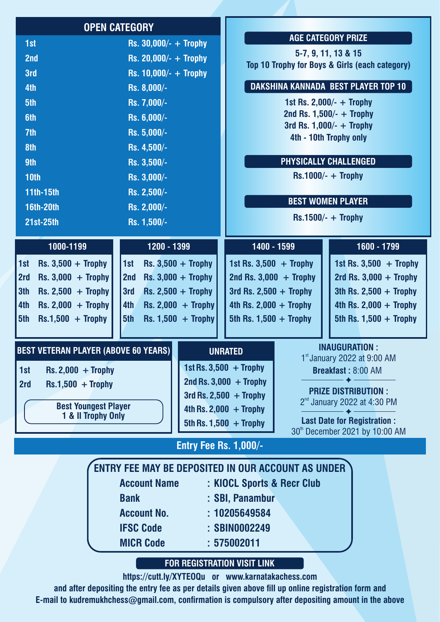|                                                   | <b>OPEN CATEGORY</b>                               |                                     |                             |             |                                                                      |  |
|---------------------------------------------------|----------------------------------------------------|-------------------------------------|-----------------------------|-------------|----------------------------------------------------------------------|--|
| 1st                                               | Rs. $30,000/- +$ Trophy                            |                                     |                             |             | <b>AGE CATEGORY PRIZE</b>                                            |  |
| 2nd                                               | Rs. 20,000/- $+$ Trophy                            |                                     |                             |             | 5-7, 9, 11, 13 & 15                                                  |  |
| 3rd                                               | Rs. $10,000/- +$ Trophy                            |                                     |                             |             | Top 10 Trophy for Boys & Girls (each category)                       |  |
| 4th                                               | Rs. 8,000/-                                        |                                     |                             |             | <b>DAKSHINA KANNADA BEST PLAYER TOP 10</b>                           |  |
| 5th                                               | Rs. 7,000/-                                        |                                     |                             |             | 1st Rs. 2,000/- $+$ Trophy                                           |  |
| 6th                                               | Rs. 6,000/-                                        |                                     |                             |             | 2nd Rs. $1,500/ - +$ Trophy                                          |  |
| 7th                                               | Rs. 5,000/-                                        |                                     |                             |             | 3rd Rs. $1,000/- +$ Trophy<br>4th - 10th Trophy only                 |  |
| 8th                                               | Rs. 4,500/-                                        |                                     |                             |             |                                                                      |  |
| 9th                                               | Rs. 3,500/-                                        |                                     |                             |             | PHYSICALLY CHALLENGED                                                |  |
| <b>10th</b>                                       | Rs. 3,000/-                                        |                                     |                             |             | $Rs.1000/- +$ Trophy                                                 |  |
| <b>11th-15th</b>                                  | Rs. 2,500/-                                        |                                     |                             |             |                                                                      |  |
| <b>16th-20th</b>                                  | Rs. 2,000/-                                        |                                     |                             |             | <b>BEST WOMEN PLAYER</b>                                             |  |
| 21st-25th                                         | Rs. 1,500/-                                        |                                     |                             |             | $Rs.1500/- +$ Trophy                                                 |  |
| 1000-1199                                         | 1200 - 1399                                        |                                     |                             | 1400 - 1599 | 1600 - 1799                                                          |  |
| 1st<br>$Rs. 3,500 + Trophy$                       | 1st                                                | $Rs. 3,500 + Trophy$                | 1st Rs. $3,500 +$ Trophy    |             | 1st Rs. $3,500 +$ Trophy                                             |  |
| 2rd<br>$Rs. 3,000 + Trophy$                       | 2nd                                                | $Rs. 3,000 + Trophy$                | 2nd Rs. $3,000 +$ Trophy    |             | 2rd Rs. $3,000 +$ Trophy                                             |  |
| 3th<br>$Rs. 2,500 + Trophy$                       | 3rd                                                | $Rs. 2,500 + Trophy$                | 3rd Rs. $2,500 +$ Trophy    |             | 3th Rs. 2,500 $+$ Trophy                                             |  |
| $Rs. 2,000 + Trophy$<br>4th                       | 4th                                                | $\text{Rs. } 2,000 + \text{Trophy}$ | 4th Rs. 2,000 $+$ Trophy    |             | 4th Rs. 2,000 $+$ Trophy                                             |  |
| 5th<br>$Rs.1,500 + Trophy$                        | 5th                                                | $Rs. 1,500 + Trophy$                | 5th Rs. $1,500 +$ Trophy    |             | 5th Rs. $1,500 +$ Trophy                                             |  |
|                                                   |                                                    |                                     |                             |             |                                                                      |  |
| <b>BEST VETERAN PLAYER (ABOVE 60 YEARS)</b>       |                                                    |                                     | <b>UNRATED</b>              |             | <b>INAUGURATION:</b><br>$1st$ January 2022 at 9:00 AM                |  |
| $Rs. 2,000 + Trophy$<br>1st                       |                                                    |                                     | 1st Rs. $3,500 +$ Trophy    |             | Breakfast: 8:00 AM                                                   |  |
| 2rd<br>$Rs.1,500 + Trophy$                        |                                                    |                                     | $2nd$ Rs. 3,000 + Trophy    |             |                                                                      |  |
|                                                   |                                                    |                                     | 3rd Rs. 2,500 $+$ Trophy    |             | <b>PRIZE DISTRIBUTION:</b><br>$2nd$ January 2022 at 4:30 PM          |  |
| <b>Best Youngest Player</b><br>1 & II Trophy Only |                                                    |                                     | 4th Rs. $2,000 +$ Trophy    |             |                                                                      |  |
|                                                   |                                                    |                                     | 5th Rs. $1,500 +$ Trophy    |             | <b>Last Date for Registration:</b><br>30th December 2021 by 10:00 AM |  |
|                                                   |                                                    | <b>Entry Fee Rs. 1,000/-</b>        |                             |             |                                                                      |  |
|                                                   | ENTRY FEE MAY BE DEPOSITED IN OUR ACCOUNT AS UNDER |                                     |                             |             |                                                                      |  |
|                                                   | <b>Account Name</b>                                |                                     | : KIOCL Sports & Recr Club  |             |                                                                      |  |
|                                                   | <b>Bank</b>                                        |                                     | : SBI, Panambur             |             |                                                                      |  |
|                                                   | <b>Account No.</b>                                 |                                     | : 10205649584               |             |                                                                      |  |
|                                                   | <b>IFSC Code</b>                                   |                                     | : SBIN0002249               |             |                                                                      |  |
|                                                   | <b>MICR Code</b>                                   |                                     | : 575002011                 |             |                                                                      |  |
|                                                   |                                                    |                                     | FOR REGISTRATION VISIT LINK |             |                                                                      |  |
|                                                   | https://cutt.ly/XYTEOQu or www.karnatakachess.com  |                                     |                             |             |                                                                      |  |

and after depositing the entry fee as per details given above fill up online registration form and **E-mail to kudremukhchess@gmail.com, conrmation is compulsory after depositing amount in the above**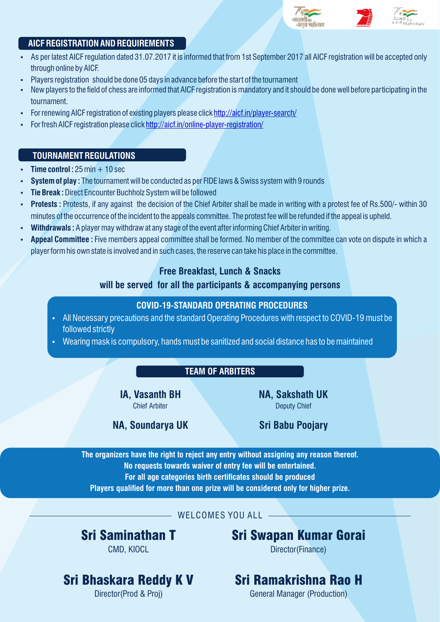

#### **AICF REGISTRATION AND REQUIREMENTS**

- As per latest AICF regulation dated 31.07.2017 it is informed that from 1st September 2017 all AICF registration will be accepted only through online by AICF.
- Players registration should be done 05 days in advance before the start of the tournament
- New players to the field of chess are informed that AICF registration is mandatory and it should be done well before participating in the tournament.
- For renewing AICF registration of existing players please click<http://aicf.in/player-search/>
- For fresh AICF registration please click<http://aicf.in/online-player-registration/>

#### **TOURNAMENT REGULATIONS**

- **Time control :**  $25 \text{ min} + 10 \text{ sec}$
- **System of play :** The tournament will be conducted as per FIDE laws & Swiss system with 9 rounds
- **Tie Break: Direct Encounter Buchholz System will be followed**
- Protests: Protests, if any against the decision of the Chief Arbiter shall be made in writing with a protest fee of Rs.500/- within 30 minutes of the occurrence of the incident to the appeals committee. The protest fee will be refunded if the appeal is upheld.
- Withdrawals : A player may withdraw at any stage of the event after informing Chief Arbiter in writing.
- Appeal Committee : Five members appeal committee shall be formed. No member of the committee can vote on dispute in which a player form his own state is involved and in such cases, the reserve can take his place in the committee.

#### **Free Breakfast, Lunch & Snacks**

#### **will be served for all the participants & accompanying persons**

#### **COVID-19-STANDARD OPERATING PROCEDURES**

- All Necessary precautions and the standard Operating Procedures with respect to COVID-19 must be followed strictly
- Wearing mask is compulsory, hands must be sanitized and social distance has to be maintained

#### **TEAM OF ARBITERS**

**IA, Vasanth BH** Chief Arbiter

**NA, Sakshath UK** Deputy Chief

**NA, Soundarya UK Sri Babu Poojary**

**The organizers have the right to reject any entry without assigning any reason thereof. No requests towards waiver of entry fee will be entertained.** For all age categories birth certificates should be produced Players qualified for more than one prize will be considered only for higher prize.

WELCOMES YOU ALL

Sri Saminathan T

CMD, KIOCL

Sri Swapan Kumar Gorai

Director(Finance)

## Sri Bhaskara Reddy K V

Director(Prod & Proj)

## Sri Ramakrishna Rao H

General Manager (Production)